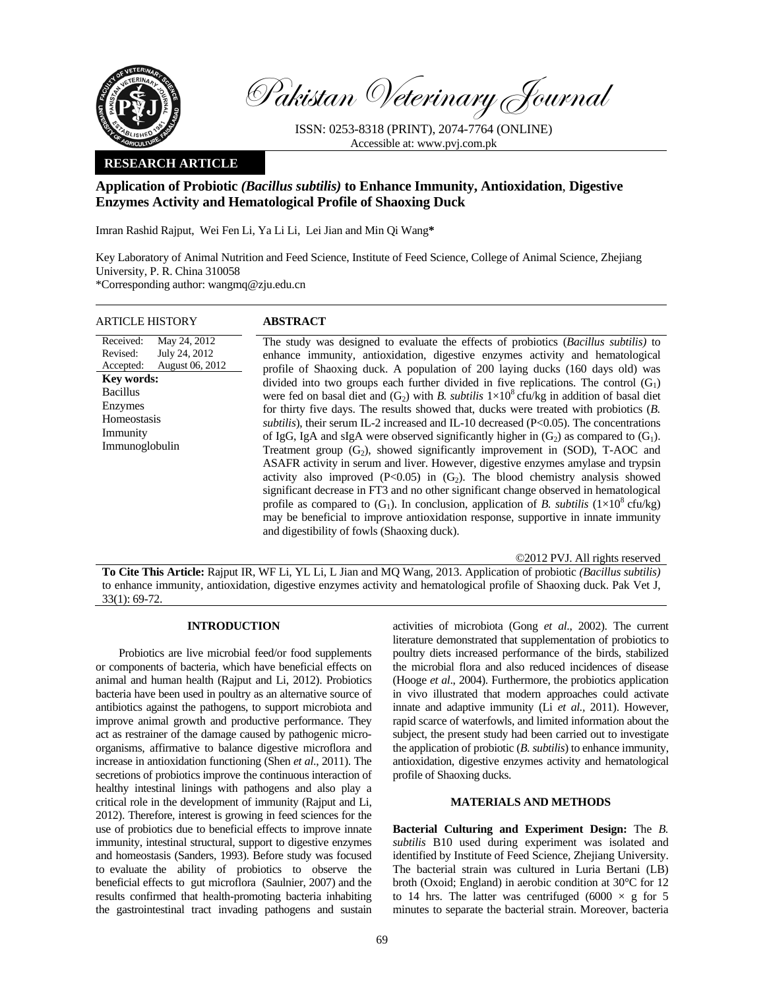

Pakistan Veterinary Journal

ISSN: 0253-8318 (PRINT), 2074-7764 (ONLINE) Accessible at: www.pvj.com.pk

## **RESEARCH ARTICLE**

# **Application of Probiotic** *(Bacillus subtilis)* **to Enhance Immunity, Antioxidation**, **Digestive Enzymes Activity and Hematological Profile of Shaoxing Duck**

Imran Rashid Rajput, Wei Fen Li, Ya Li Li, Lei Jian and Min Qi Wang**\*** 

Key Laboratory of Animal Nutrition and Feed Science, Institute of Feed Science, College of Animal Science, Zhejiang University, P. R. China 310058 \*Corresponding author: wangmq@zju.edu.cn

| ARTICLE HISTORY                                                                                                                                                                        | <b>ABSTRACT</b>                                                                                                                                                                                                                                                                                                                                                                                                                                                                                                                                                                                                                                                                                                                                                                                                                                                                                                                                                                                                                                                                                                                                                                                                                                                                                                                                                      |
|----------------------------------------------------------------------------------------------------------------------------------------------------------------------------------------|----------------------------------------------------------------------------------------------------------------------------------------------------------------------------------------------------------------------------------------------------------------------------------------------------------------------------------------------------------------------------------------------------------------------------------------------------------------------------------------------------------------------------------------------------------------------------------------------------------------------------------------------------------------------------------------------------------------------------------------------------------------------------------------------------------------------------------------------------------------------------------------------------------------------------------------------------------------------------------------------------------------------------------------------------------------------------------------------------------------------------------------------------------------------------------------------------------------------------------------------------------------------------------------------------------------------------------------------------------------------|
| Received:<br>May 24, 2012<br>Revised:<br>July 24, 2012<br>August 06, 2012<br>Accepted:<br><b>Key words:</b><br><b>Bacillus</b><br>Enzymes<br>Homeostasis<br>Immunity<br>Immunoglobulin | The study was designed to evaluate the effects of probiotics ( <i>Bacillus subtilis</i> ) to<br>enhance immunity, antioxidation, digestive enzymes activity and hematological<br>profile of Shaoxing duck. A population of 200 laying ducks (160 days old) was<br>divided into two groups each further divided in five replications. The control $(G_1)$<br>were fed on basal diet and $(G_2)$ with B. subtilis $1 \times 10^8$ cfu/kg in addition of basal diet<br>for thirty five days. The results showed that, ducks were treated with probiotics (B.<br><i>subtilis</i> ), their serum IL-2 increased and IL-10 decreased ( $P<0.05$ ). The concentrations<br>of IgG, IgA and sIgA were observed significantly higher in $(G_2)$ as compared to $(G_1)$ .<br>Treatment group $(G_2)$ , showed significantly improvement in (SOD), T-AOC and<br>ASAFR activity in serum and liver. However, digestive enzymes amylase and trypsin<br>activity also improved (P<0.05) in $(G_2)$ . The blood chemistry analysis showed<br>significant decrease in FT3 and no other significant change observed in hematological<br>profile as compared to $(G_1)$ . In conclusion, application of B. subtilis $(1\times10^8 \text{ cfu/kg})$<br>may be beneficial to improve antioxidation response, supportive in innate immunity<br>and digestibility of fowls (Shaoxing duck). |

©2012 PVJ. All rights reserved

**To Cite This Article:** Rajput IR, WF Li, YL Li, L Jian and MQ Wang, 2013. Application of probiotic *(Bacillus subtilis)* to enhance immunity, antioxidation, digestive enzymes activity and hematological profile of Shaoxing duck. Pak Vet J, 33(1): 69-72.

#### **INTRODUCTION**

Probiotics are live microbial feed/or food supplements or components of bacteria, which have beneficial effects on animal and human health (Rajput and Li, 2012). Probiotics bacteria have been used in poultry as an alternative source of antibiotics against the pathogens, to support microbiota and improve animal growth and productive performance. They act as restrainer of the damage caused by pathogenic microorganisms, affirmative to balance digestive microflora and increase in antioxidation functioning (Shen *et al*., 2011). The secretions of probiotics improve the continuous interaction of healthy intestinal linings with pathogens and also play a critical role in the development of immunity (Rajput and Li, 2012). Therefore, interest is growing in feed sciences for the use of probiotics due to beneficial effects to improve innate immunity, intestinal structural, support to digestive enzymes and homeostasis (Sanders, 1993). Before study was focused to evaluate the ability of probiotics to observe the beneficial effects to gut microflora (Saulnier, 2007) and the results confirmed that health-promoting bacteria inhabiting the gastrointestinal tract invading pathogens and sustain

activities of microbiota (Gong *et al*., 2002). The current literature demonstrated that supplementation of probiotics to poultry diets increased performance of the birds, stabilized the microbial flora and also reduced incidences of disease (Hooge *et al*., 2004). Furthermore, the probiotics application in vivo illustrated that modern approaches could activate innate and adaptive immunity (Li *et al.,* 2011). However, rapid scarce of waterfowls, and limited information about the subject, the present study had been carried out to investigate the application of probiotic (*B. subtilis*) to enhance immunity, antioxidation, digestive enzymes activity and hematological profile of Shaoxing ducks.

### **MATERIALS AND METHODS**

**Bacterial Culturing and Experiment Design:** The *B. subtilis* B10 used during experiment was isolated and identified by Institute of Feed Science, Zhejiang University. The bacterial strain was cultured in Luria Bertani (LB) broth (Oxoid; England) in aerobic condition at 30°C for 12 to 14 hrs. The latter was centrifuged (6000  $\times$  g for 5 minutes to separate the bacterial strain. Moreover, bacteria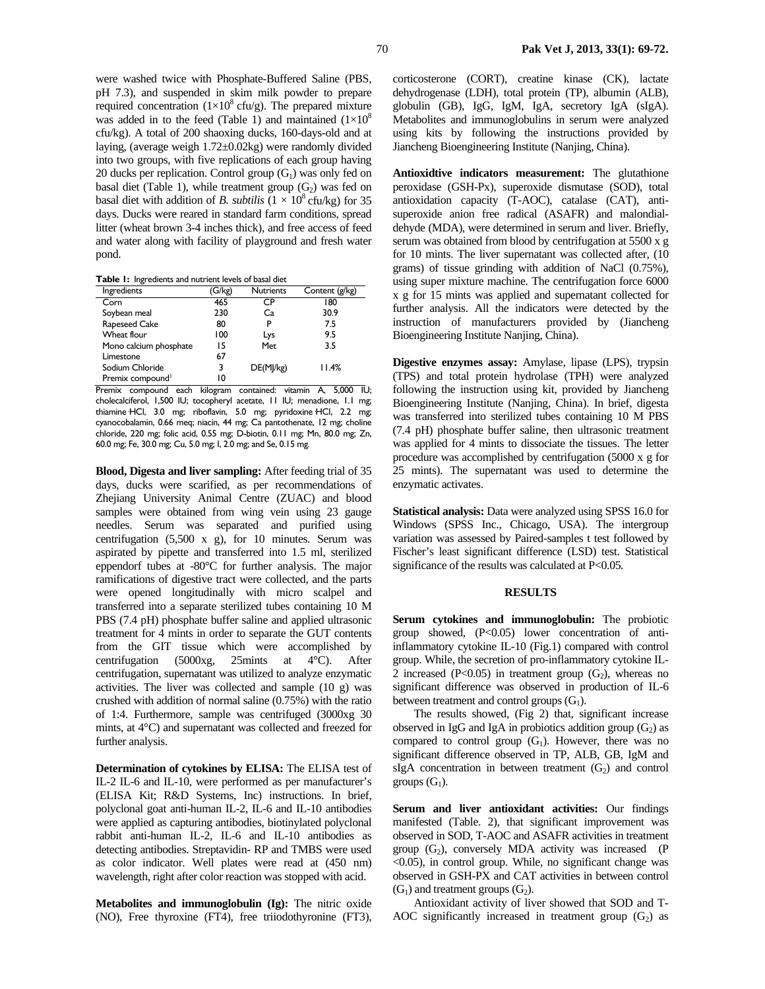were washed twice with Phosphate-Buffered Saline (PBS, pH 7.3), and suspended in skim milk powder to prepare required concentration  $(1\times10^8 \text{ cftu/g})$ . The prepared mixture was added in to the feed (Table 1) and maintained  $(1\times10^8)$ cfu/kg). A total of 200 shaoxing ducks, 160-days-old and at laying, (average weigh 1.72±0.02kg) were randomly divided into two groups, with five replications of each group having 20 ducks per replication. Control group  $(G_1)$  was only fed on basal diet (Table 1), while treatment group  $(G_2)$  was fed on basal diet with addition of *B. subtilis*  $(1 \times 10^8 \text{ cftu/kg})$  for 35 days. Ducks were reared in standard farm conditions, spread litter (wheat brown 3-4 inches thick), and free access of feed and water along with facility of playground and fresh water pond.

**Table 1:** Ingredients and nutrient levels of basal diet

| Ingredients                  | G/kg) | <b>Nutrients</b> | Content (g/kg) |  |
|------------------------------|-------|------------------|----------------|--|
| Corn                         | 465   | CΡ               | 180            |  |
| Soybean meal                 | 230   | Cа               | 30.9           |  |
| Rapeseed Cake                | 80    | P                | 7.5            |  |
| Wheat flour                  | 100   | Lys              | 9.5            |  |
| Mono calcium phosphate       | 15    | Met              | 3.5            |  |
| Limestone                    | 67    |                  |                |  |
| Sodium Chloride              | 3     | DE(M /kg)        | 11.4%          |  |
| Premix compound <sup>1</sup> | 10    |                  |                |  |

Premix compound each kilogram contained: vitamin A, 5,000 IU; cholecalciferol, 1,500 IU; tocopheryl acetate, 11 IU; menadione, 1.1 mg; thiamine HCl, 3.0 mg; riboflavin, 5.0 mg; pyridoxine HCl, 2.2 mg; cyanocobalamin, 0.66 meq; niacin, 44 mg; Ca pantothenate, 12 mg; choline chloride, 220 mg; folic acid, 0.55 mg; D-biotin, 0.11 mg; Mn, 80.0 mg; Zn, 60.0 mg; Fe, 30.0 mg; Cu, 5.0 mg; I, 2.0 mg; and Se, 0.15 mg.

**Blood, Digesta and liver sampling:** After feeding trial of 35 days, ducks were scarified, as per recommendations of Zhejiang University Animal Centre (ZUAC) and blood samples were obtained from wing vein using 23 gauge needles. Serum was separated and purified using centrifugation (5,500 x g), for 10 minutes. Serum was aspirated by pipette and transferred into 1.5 ml, sterilized eppendorf tubes at -80°C for further analysis. The major ramifications of digestive tract were collected, and the parts were opened longitudinally with micro scalpel and transferred into a separate sterilized tubes containing 10 M PBS (7.4 pH) phosphate buffer saline and applied ultrasonic treatment for 4 mints in order to separate the GUT contents from the GIT tissue which were accomplished by centrifugation (5000xg, 25mints at 4°C). After centrifugation, supernatant was utilized to analyze enzymatic activities. The liver was collected and sample (10 g) was crushed with addition of normal saline (0.75%) with the ratio of 1:4. Furthermore, sample was centrifuged (3000xg 30 mints, at 4°C) and supernatant was collected and freezed for further analysis.

**Determination of cytokines by ELISA:** The ELISA test of IL-2 IL-6 and IL-10, were performed as per manufacturer's (ELISA Kit; R&D Systems, Inc) instructions. In brief, polyclonal goat anti-human IL-2, IL-6 and IL-10 antibodies were applied as capturing antibodies, biotinylated polyclonal rabbit anti-human IL-2, IL-6 and IL-10 antibodies as detecting antibodies. Streptavidin- RP and TMBS were used as color indicator. Well plates were read at (450 nm) wavelength, right after color reaction was stopped with acid.

**Metabolites and immunoglobulin (Ig):** The nitric oxide (NO), Free thyroxine (FT4), free triiodothyronine (FT3), corticosterone (CORT), creatine kinase (CK), lactate dehydrogenase (LDH), total protein (TP), albumin (ALB), globulin (GB), IgG, IgM, IgA, secretory IgA (sIgA). Metabolites and immunoglobulins in serum were analyzed using kits by following the instructions provided by Jiancheng Bioengineering Institute (Nanjing, China).

**Antioxidtive indicators measurement:** The glutathione peroxidase (GSH-Px), superoxide dismutase (SOD), total antioxidation capacity (T-AOC), catalase (CAT), antisuperoxide anion free radical (ASAFR) and malondialdehyde (MDA), were determined in serum and liver. Briefly, serum was obtained from blood by centrifugation at 5500 x g for 10 mints. The liver supernatant was collected after, (10 grams) of tissue grinding with addition of NaCl (0.75%), using super mixture machine. The centrifugation force 6000 x g for 15 mints was applied and supernatant collected for further analysis. All the indicators were detected by the instruction of manufacturers provided by (Jiancheng Bioengineering Institute Nanjing, China).

**Digestive enzymes assay:** Amylase, lipase (LPS), trypsin (TPS) and total protein hydrolase (TPH) were analyzed following the instruction using kit, provided by Jiancheng Bioengineering Institute (Nanjing, China). In brief, digesta was transferred into sterilized tubes containing 10 M PBS (7.4 pH) phosphate buffer saline, then ultrasonic treatment was applied for 4 mints to dissociate the tissues. The letter procedure was accomplished by centrifugation (5000 x g for 25 mints). The supernatant was used to determine the enzymatic activates.

**Statistical analysis:** Data were analyzed using SPSS 16.0 for Windows (SPSS Inc., Chicago, USA). The intergroup variation was assessed by Paired-samples t test followed by Fischer's least significant difference (LSD) test. Statistical significance of the results was calculated at P<0.05.

#### **RESULTS**

**Serum cytokines and immunoglobulin:** The probiotic group showed, (P<0.05) lower concentration of antiinflammatory cytokine IL-10 (Fig.1) compared with control group. While, the secretion of pro-inflammatory cytokine IL-2 increased (P<0.05) in treatment group  $(G_2)$ , whereas no significant difference was observed in production of IL-6 between treatment and control groups  $(G_1)$ .

The results showed, (Fig 2) that, significant increase observed in IgG and IgA in probiotics addition group  $(G_2)$  as compared to control group  $(G_1)$ . However, there was no significant difference observed in TP, ALB, GB, IgM and sIgA concentration in between treatment  $(G_2)$  and control groups  $(G_1)$ .

**Serum and liver antioxidant activities:** Our findings manifested (Table. 2), that significant improvement was observed in SOD, T-AOC and ASAFR activities in treatment group  $(G_2)$ , conversely MDA activity was increased (P <0.05), in control group. While, no significant change was observed in GSH-PX and CAT activities in between control  $(G_1)$  and treatment groups  $(G_2)$ .

 Antioxidant activity of liver showed that SOD and T-AOC significantly increased in treatment group  $(G_2)$  as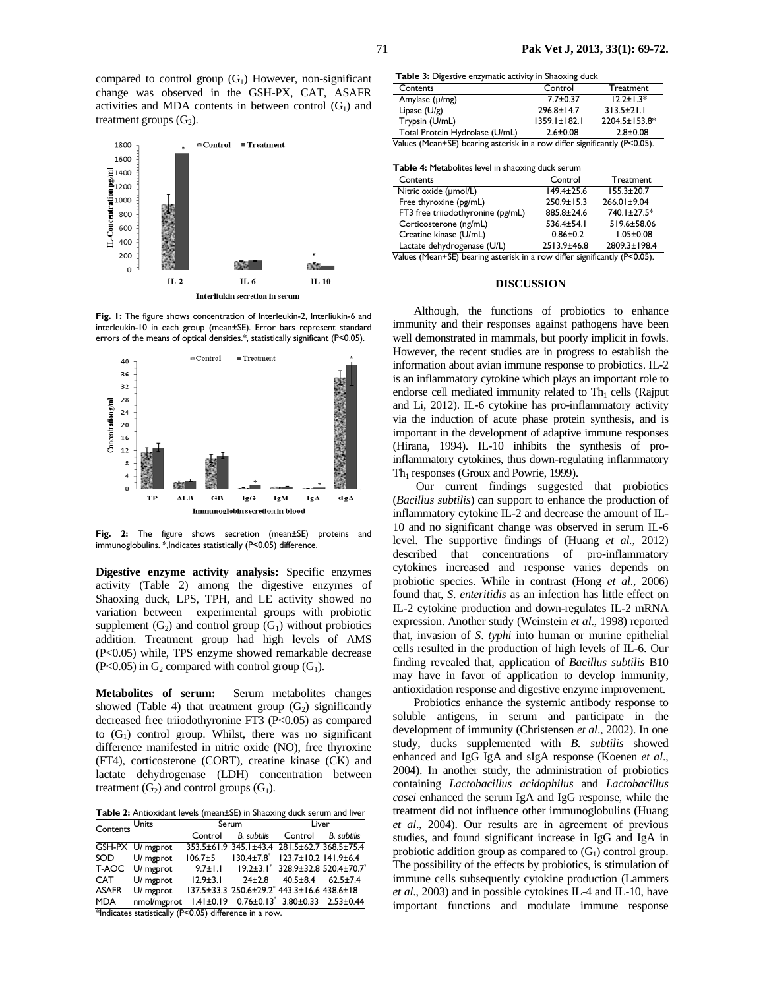compared to control group  $(G_1)$  However, non-significant change was observed in the GSH-PX, CAT, ASAFR activities and MDA contents in between control  $(G_1)$  and treatment groups  $(G_2)$ .



Fig. 1: The figure shows concentration of Interleukin-2, Interliukin-6 and interleukin-10 in each group (mean±SE). Error bars represent standard errors of the means of optical densities.\*, statistically significant (P<0.05).



**Fig. 2:** The figure shows secretion (mean±SE) proteins and immunoglobulins. \*,Indicates statistically (P<0.05) difference.

**Digestive enzyme activity analysis:** Specific enzymes activity (Table 2) among the digestive enzymes of Shaoxing duck, LPS, TPH, and LE activity showed no variation between experimental groups with probiotic supplement  $(G_2)$  and control group  $(G_1)$  without probiotics addition. Treatment group had high levels of AMS (P<0.05) while, TPS enzyme showed remarkable decrease (P<0.05) in  $G_2$  compared with control group ( $G_1$ ).

**Metabolites of serum:** Serum metabolites changes showed (Table 4) that treatment group  $(G_2)$  significantly decreased free triiodothyronine FT3 (P<0.05) as compared to  $(G_1)$  control group. Whilst, there was no significant difference manifested in nitric oxide (NO), free thyroxine (FT4), corticosterone (CORT), creatine kinase (CK) and lactate dehydrogenase (LDH) concentration between treatment  $(G_2)$  and control groups  $(G_1)$ .

**Table 2:** Antioxidant levels (mean±SE) in Shaoxing duck serum and liver<br>Call Units Serum Liver

| Contents Units                                             |                  | Serum          |                                                                 | Liver   |                               |
|------------------------------------------------------------|------------------|----------------|-----------------------------------------------------------------|---------|-------------------------------|
|                                                            |                  | Control        | <b>B.</b> subtilis                                              | Control | <b>B.</b> subtilis            |
|                                                            | GSH-PX U/ mgprot |                | 353.5±61.9 345.1±43.4 281.5±62.7 368.5±75.4                     |         |                               |
|                                                            | SOD U/ mgprot    | $106.7 \pm 5$  | $130.4\pm7.8$ <sup>*</sup> $123.7\pm10.2$ 141.9 $\pm6.4$        |         |                               |
|                                                            | T-AOC U/ mgprot  |                | $9.7\pm1.1$ $19.2\pm3.1^*$ 328.9 $\pm32.8$ 520.4 $\pm70.7^*$    |         |                               |
| <b>CAT</b>                                                 | U/ mgprot        | $12.9 \pm 3.1$ | $24\pm 2.8$                                                     |         | $40.5 \pm 8.4$ 62.5 $\pm 7.4$ |
| <b>ASAFR</b>                                               | U/ mgprot        |                | 137.5±33.3 250.6±29.2 <sup>*</sup> 443.3±16.6 438.6±18          |         |                               |
| <b>MDA</b>                                                 | nmol/mgprot      |                | $1.41 \pm 0.19$ $0.76 \pm 0.13$ $3.80 \pm 0.33$ $2.53 \pm 0.44$ |         |                               |
| $*Indicators$ statistically $(P<0.05)$ difference in a row |                  |                |                                                                 |         |                               |

tes statistically (P<0.05) difference in a row.

|  |  | <b>Table 3:</b> Digestive enzymatic activity in Shaoxing duck |  |  |
|--|--|---------------------------------------------------------------|--|--|
|--|--|---------------------------------------------------------------|--|--|

| Contents                                                                  | Control            | Treatment        |  |
|---------------------------------------------------------------------------|--------------------|------------------|--|
| Amylase $(\mu/mg)$                                                        | $7.7 \pm 0.37$     | $12.2 \pm 1.3*$  |  |
| Lipase $(U/g)$                                                            | $296.8 \pm 14.7$   | $313.5 \pm 21.1$ |  |
| Trypsin (U/mL)                                                            | $1359.1 \pm 182.1$ | 2204.5±153.8*    |  |
| Total Protein Hydrolase (U/mL)                                            | $2.6 \pm 0.08$     | $2.8 \pm 0.08$   |  |
| Values (Mean+SE) bearing asterisk in a row differ significantly (P<0.05). |                    |                  |  |

| <b>Table 4:</b> Metabolites level in shaoxing duck serum |                  |                  |  |
|----------------------------------------------------------|------------------|------------------|--|
| Contents                                                 | Control          | Treatment        |  |
| Nitric oxide (µmol/L)                                    | $149.4 \pm 25.6$ | $155.3 \pm 20.7$ |  |
| Free thyroxine (pg/mL)                                   | $250.9 \pm 15.3$ | 266.01±9.04      |  |
| FT3 free triiodothyronine (pg/mL)                        | 885.8±24.6       | 740.1±27.5*      |  |
| Corticosterone (ng/mL)                                   | $536.4 \pm 54.1$ | 519.6±58.06      |  |
| Creatine kinase (U/mL)                                   | $0.86 \pm 0.2$   | $1.05 \pm 0.08$  |  |
| Lactate dehydrogenase (U/L)                              | 2513.9±46.8      | 2809.3±198.4     |  |

Values (Mean+SE) bearing asterisk in a row differ significantly (P<0.05).

#### **DISCUSSION**

Although, the functions of probiotics to enhance immunity and their responses against pathogens have been well demonstrated in mammals, but poorly implicit in fowls. However, the recent studies are in progress to establish the information about avian immune response to probiotics. IL-2 is an inflammatory cytokine which plays an important role to endorse cell mediated immunity related to  $Th_1$  cells (Rajput and Li, 2012). IL-6 cytokine has pro-inflammatory activity via the induction of acute phase protein synthesis, and is important in the development of adaptive immune responses (Hirana, 1994). IL-10 inhibits the synthesis of proinflammatory cytokines, thus down-regulating inflammatory Th<sub>1</sub> responses (Groux and Powrie, 1999).

Our current findings suggested that probiotics (*Bacillus subtilis*) can support to enhance the production of inflammatory cytokine IL-2 and decrease the amount of IL-10 and no significant change was observed in serum IL-6 level. The supportive findings of (Huang *et al.,* 2012) described that concentrations of pro-inflammatory cytokines increased and response varies depends on probiotic species. While in contrast (Hong *et al*., 2006) found that, *S*. *enteritidis* as an infection has little effect on IL-2 cytokine production and down-regulates IL-2 mRNA expression. Another study (Weinstein *et al*., 1998) reported that, invasion of *S*. *typhi* into human or murine epithelial cells resulted in the production of high levels of IL-6. Our finding revealed that, application of *Bacillus subtilis* B10 may have in favor of application to develop immunity, antioxidation response and digestive enzyme improvement.

Probiotics enhance the systemic antibody response to soluble antigens, in serum and participate in the development of immunity (Christensen *et al*., 2002). In one study, ducks supplemented with *B. subtilis* showed enhanced and IgG IgA and sIgA response (Koenen *et al*., 2004). In another study, the administration of probiotics containing *Lactobacillus acidophilus* and *Lactobacillus casei* enhanced the serum IgA and IgG response, while the treatment did not influence other immunoglobulins (Huang *et al*., 2004). Our results are in agreement of previous studies, and found significant increase in IgG and IgA in probiotic addition group as compared to  $(G<sub>1</sub>)$  control group. The possibility of the effects by probiotics, is stimulation of immune cells subsequently cytokine production (Lammers *et al*., 2003) and in possible cytokines IL-4 and IL-10, have important functions and modulate immune response